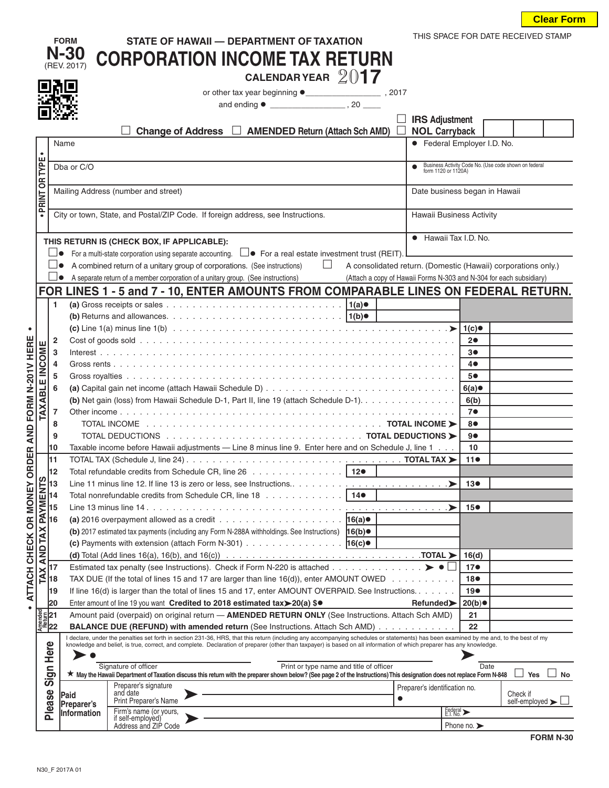| <b>Clear Form</b> |  |
|-------------------|--|
|-------------------|--|

|                          |                                   |                                                                                                                                                                                                                                                                                                                                                               | <b>FORM</b>                                                          | STATE OF HAWAII - DEPARTMENT OF TAXATION                                                                                                                                                                                                               |                               |                                               | THIS SPACE FOR DATE RECEIVED STAMP                            |
|--------------------------|-----------------------------------|---------------------------------------------------------------------------------------------------------------------------------------------------------------------------------------------------------------------------------------------------------------------------------------------------------------------------------------------------------------|----------------------------------------------------------------------|--------------------------------------------------------------------------------------------------------------------------------------------------------------------------------------------------------------------------------------------------------|-------------------------------|-----------------------------------------------|---------------------------------------------------------------|
|                          |                                   |                                                                                                                                                                                                                                                                                                                                                               | N-30                                                                 | <b>CORPORATION INCOME TAX RETURN</b>                                                                                                                                                                                                                   |                               |                                               |                                                               |
|                          |                                   |                                                                                                                                                                                                                                                                                                                                                               | (REV. 2017)                                                          | CALENDAR YEAR $2017$                                                                                                                                                                                                                                   |                               |                                               |                                                               |
|                          |                                   |                                                                                                                                                                                                                                                                                                                                                               |                                                                      |                                                                                                                                                                                                                                                        |                               |                                               |                                                               |
|                          |                                   |                                                                                                                                                                                                                                                                                                                                                               |                                                                      |                                                                                                                                                                                                                                                        |                               |                                               |                                                               |
|                          |                                   |                                                                                                                                                                                                                                                                                                                                                               |                                                                      |                                                                                                                                                                                                                                                        |                               |                                               |                                                               |
|                          |                                   |                                                                                                                                                                                                                                                                                                                                                               |                                                                      | <b>Change of Address</b><br><b>AMENDED Return (Attach Sch AMD)</b>                                                                                                                                                                                     |                               | <b>IRS Adjustment</b><br><b>NOL Carryback</b> |                                                               |
|                          |                                   | Name                                                                                                                                                                                                                                                                                                                                                          |                                                                      |                                                                                                                                                                                                                                                        |                               | • Federal Employer I.D. No.                   |                                                               |
| PRINT OR TYPE            | $\bullet$                         |                                                                                                                                                                                                                                                                                                                                                               |                                                                      |                                                                                                                                                                                                                                                        |                               |                                               |                                                               |
|                          |                                   | Dba or C/O<br>form 1120 or 1120A)                                                                                                                                                                                                                                                                                                                             |                                                                      |                                                                                                                                                                                                                                                        |                               |                                               | Business Activity Code No. (Use code shown on federal         |
|                          |                                   |                                                                                                                                                                                                                                                                                                                                                               |                                                                      |                                                                                                                                                                                                                                                        |                               |                                               |                                                               |
|                          |                                   |                                                                                                                                                                                                                                                                                                                                                               | Mailing Address (number and street)<br>Date business began in Hawaii |                                                                                                                                                                                                                                                        |                               |                                               |                                                               |
|                          | $\bullet$                         |                                                                                                                                                                                                                                                                                                                                                               |                                                                      | City or town, State, and Postal/ZIP Code. If foreign address, see Instructions.                                                                                                                                                                        |                               | <b>Hawaii Business Activity</b>               |                                                               |
|                          |                                   |                                                                                                                                                                                                                                                                                                                                                               |                                                                      |                                                                                                                                                                                                                                                        |                               |                                               |                                                               |
|                          |                                   |                                                                                                                                                                                                                                                                                                                                                               |                                                                      | THIS RETURN IS (CHECK BOX, IF APPLICABLE):                                                                                                                                                                                                             |                               | • Hawaii Tax I.D. No.                         |                                                               |
|                          |                                   |                                                                                                                                                                                                                                                                                                                                                               |                                                                      | For a multi-state corporation using separate accounting. $\square \bullet \;$ For a real estate investment trust (REIT).                                                                                                                               |                               |                                               |                                                               |
|                          |                                   |                                                                                                                                                                                                                                                                                                                                                               |                                                                      | A combined return of a unitary group of corporations. (See instructions)<br>⊔                                                                                                                                                                          |                               |                                               | A consolidated return. (Domestic (Hawaii) corporations only.) |
|                          |                                   |                                                                                                                                                                                                                                                                                                                                                               |                                                                      | A separate return of a member corporation of a unitary group. (See instructions)<br>(Attach a copy of Hawaii Forms N-303 and N-304 for each subsidiary)                                                                                                |                               |                                               |                                                               |
|                          |                                   |                                                                                                                                                                                                                                                                                                                                                               |                                                                      | FOR LINES 1 - 5 and 7 - 10, ENTER AMOUNTS FROM COMPARABLE LINES ON FEDERAL RETURN.                                                                                                                                                                     |                               |                                               |                                                               |
|                          |                                   | 1                                                                                                                                                                                                                                                                                                                                                             |                                                                      | (a) Gross receipts or sales $\ldots \ldots \ldots \ldots \ldots \ldots \ldots \ldots \ldots \ldots \ldots$                                                                                                                                             |                               |                                               |                                                               |
|                          |                                   |                                                                                                                                                                                                                                                                                                                                                               |                                                                      |                                                                                                                                                                                                                                                        |                               |                                               |                                                               |
| $\bullet$                |                                   |                                                                                                                                                                                                                                                                                                                                                               |                                                                      |                                                                                                                                                                                                                                                        |                               | $1(c)$ ●                                      |                                                               |
|                          |                                   | 2<br>3                                                                                                                                                                                                                                                                                                                                                        |                                                                      |                                                                                                                                                                                                                                                        |                               | 20<br>3●                                      |                                                               |
|                          |                                   | 4                                                                                                                                                                                                                                                                                                                                                             |                                                                      |                                                                                                                                                                                                                                                        |                               | 4●                                            |                                                               |
|                          |                                   | 5                                                                                                                                                                                                                                                                                                                                                             |                                                                      |                                                                                                                                                                                                                                                        |                               | 5●                                            |                                                               |
|                          |                                   | 6                                                                                                                                                                                                                                                                                                                                                             |                                                                      |                                                                                                                                                                                                                                                        |                               | 6(a)                                          |                                                               |
|                          |                                   |                                                                                                                                                                                                                                                                                                                                                               |                                                                      | (b) Net gain (loss) from Hawaii Schedule D-1, Part II, line 19 (attach Schedule D-1).                                                                                                                                                                  |                               | 6(b)                                          |                                                               |
|                          | <b>TAXABLE INCOME</b>             | 7                                                                                                                                                                                                                                                                                                                                                             |                                                                      |                                                                                                                                                                                                                                                        |                               | 7●                                            |                                                               |
| AND FORM N-201V HERE     |                                   | 8                                                                                                                                                                                                                                                                                                                                                             |                                                                      |                                                                                                                                                                                                                                                        |                               | 8●                                            |                                                               |
|                          |                                   | 9                                                                                                                                                                                                                                                                                                                                                             |                                                                      | Taxable income before Hawaii adjustments - Line 8 minus line 9. Enter here and on Schedule J, line 1                                                                                                                                                   |                               | 9●                                            |                                                               |
| <b>RDER</b>              |                                   | 10<br>11                                                                                                                                                                                                                                                                                                                                                      |                                                                      |                                                                                                                                                                                                                                                        |                               | 10<br>110                                     |                                                               |
|                          |                                   | 12                                                                                                                                                                                                                                                                                                                                                            |                                                                      | Total refundable credits from Schedule CR, line 26 $\ldots$ 12 $\bullet$                                                                                                                                                                               |                               |                                               |                                                               |
|                          |                                   | 13                                                                                                                                                                                                                                                                                                                                                            |                                                                      |                                                                                                                                                                                                                                                        |                               | 13●                                           |                                                               |
|                          |                                   | 14                                                                                                                                                                                                                                                                                                                                                            |                                                                      | Total nonrefundable credits from Schedule CR, line 18 14 <sup>o</sup>                                                                                                                                                                                  |                               |                                               |                                                               |
|                          |                                   | 15                                                                                                                                                                                                                                                                                                                                                            |                                                                      |                                                                                                                                                                                                                                                        |                               | 15 <sup>o</sup>                               |                                                               |
|                          |                                   | 16                                                                                                                                                                                                                                                                                                                                                            |                                                                      | (a) 2016 overpayment allowed as a credit $\ldots \ldots \ldots \ldots \ldots \ldots \ldots$                                                                                                                                                            |                               |                                               |                                                               |
|                          |                                   |                                                                                                                                                                                                                                                                                                                                                               |                                                                      | (b) 2017 estimated tax payments (including any Form N-288A withholdings. See Instructions) 16(b) .                                                                                                                                                     |                               |                                               |                                                               |
|                          | AND TAX PAYMENTS                  |                                                                                                                                                                                                                                                                                                                                                               |                                                                      | (c) Payments with extension (attach Form N-301) $\ldots \ldots \ldots \ldots \ldots$                                                                                                                                                                   |                               | 16(d)                                         |                                                               |
| ATTACH CHECK OR MONEY OI |                                   | 17                                                                                                                                                                                                                                                                                                                                                            |                                                                      | Estimated tax penalty (see Instructions). Check if Form N-220 is attached $\blacktriangleright\bullet\Box$                                                                                                                                             |                               | 17●                                           |                                                               |
|                          | TAX                               | 18                                                                                                                                                                                                                                                                                                                                                            |                                                                      | TAX DUE (If the total of lines 15 and 17 are larger than line 16(d)), enter AMOUNT OWED $\dots \dots \dots$                                                                                                                                            |                               | 18●                                           |                                                               |
|                          |                                   | 19                                                                                                                                                                                                                                                                                                                                                            |                                                                      | If line 16(d) is larger than the total of lines 15 and 17, enter AMOUNT OVERPAID. See Instructions.                                                                                                                                                    |                               | 19 <sub>•</sub>                               |                                                               |
|                          |                                   | 20                                                                                                                                                                                                                                                                                                                                                            |                                                                      | Enter amount of line 19 you want Credited to 2018 estimated tax>20(a) \$.                                                                                                                                                                              | Refunded>                     | 20(b)                                         |                                                               |
|                          | Amended<br>Return<br><b>Anexy</b> |                                                                                                                                                                                                                                                                                                                                                               |                                                                      | Amount paid (overpaid) on original return - AMENDED RETURN ONLY (See Instructions. Attach Sch AMD)                                                                                                                                                     |                               | 21                                            |                                                               |
|                          |                                   |                                                                                                                                                                                                                                                                                                                                                               |                                                                      | <b>BALANCE DUE (REFUND) with amended return (See Instructions. Attach Sch AMD)</b>                                                                                                                                                                     |                               | 22                                            |                                                               |
|                          |                                   | I declare, under the penalties set forth in section 231-36, HRS, that this return (including any accompanying schedules or statements) has been examined by me and, to the best of my<br>knowledge and belief, is true, correct, and complete. Declaration of preparer (other than taxpayer) is based on all information of which preparer has any knowledge. |                                                                      |                                                                                                                                                                                                                                                        |                               |                                               |                                                               |
|                          | Here                              |                                                                                                                                                                                                                                                                                                                                                               |                                                                      |                                                                                                                                                                                                                                                        |                               |                                               |                                                               |
|                          | Sign                              |                                                                                                                                                                                                                                                                                                                                                               |                                                                      | Signature of officer<br>Print or type name and title of officer<br>★ May the Hawaii Department of Taxation discuss this return with the preparer shown below? (See page 2 of the Instructions) This designation does not replace Form N-848 ∠ Yes ∠ No |                               | Date                                          |                                                               |
|                          |                                   |                                                                                                                                                                                                                                                                                                                                                               |                                                                      | Preparer's signature                                                                                                                                                                                                                                   | Preparer's identification no. |                                               |                                                               |
|                          |                                   |                                                                                                                                                                                                                                                                                                                                                               | Paid<br>Preparer's                                                   | and date<br>$\bullet$<br>Print Preparer's Name                                                                                                                                                                                                         |                               |                                               | Check if<br>self-employed $\blacktriangleright$               |
|                          | Please                            |                                                                                                                                                                                                                                                                                                                                                               | Information                                                          | Firm's name (or yours,<br>if self-employed)                                                                                                                                                                                                            |                               | Federal >                                     |                                                               |
|                          |                                   |                                                                                                                                                                                                                                                                                                                                                               |                                                                      | Address and ZIP Code                                                                                                                                                                                                                                   |                               | Phone no. $\blacktriangleright$               |                                                               |